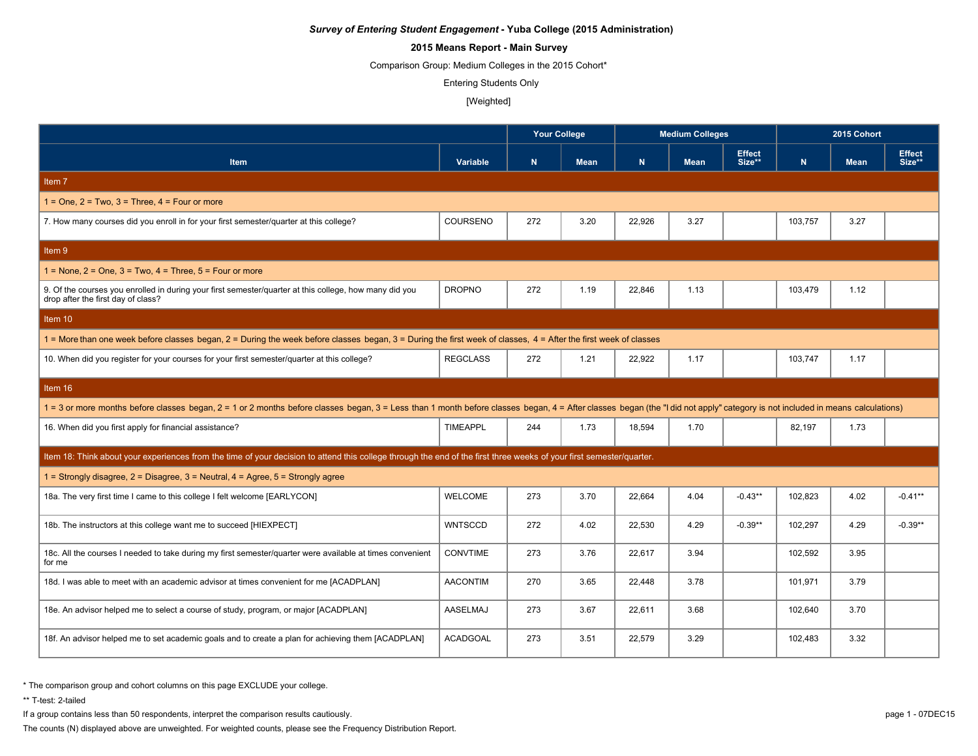# **2015 Means Report - Main Survey**

Comparison Group: Medium Colleges in the 2015 Cohort\*

Entering Students Only

#### [Weighted]

|                                                                                                                                                                                                                               |                 | <b>Your College</b> |             |        | <b>Medium Colleges</b> |                         | 2015 Cohort |             |                         |
|-------------------------------------------------------------------------------------------------------------------------------------------------------------------------------------------------------------------------------|-----------------|---------------------|-------------|--------|------------------------|-------------------------|-------------|-------------|-------------------------|
| <b>Item</b>                                                                                                                                                                                                                   | Variable        | N.                  | <b>Mean</b> | N.     | <b>Mean</b>            | <b>Effect</b><br>Size** | $\mathbf N$ | <b>Mean</b> | <b>Effect</b><br>Size** |
| Item 7                                                                                                                                                                                                                        |                 |                     |             |        |                        |                         |             |             |                         |
| $1 =$ One, $2 =$ Two, $3 =$ Three, $4 =$ Four or more                                                                                                                                                                         |                 |                     |             |        |                        |                         |             |             |                         |
| 7. How many courses did you enroll in for your first semester/quarter at this college?                                                                                                                                        | COURSENO        | 272                 | 3.20        | 22,926 | 3.27                   |                         | 103,757     | 3.27        |                         |
| Item 9                                                                                                                                                                                                                        |                 |                     |             |        |                        |                         |             |             |                         |
| $1 =$ None, $2 =$ One, $3 =$ Two, $4 =$ Three, $5 =$ Four or more                                                                                                                                                             |                 |                     |             |        |                        |                         |             |             |                         |
| 9. Of the courses you enrolled in during your first semester/quarter at this college, how many did you<br>drop after the first day of class?                                                                                  | <b>DROPNO</b>   | 272                 | 1.19        | 22.846 | 1.13                   |                         | 103,479     | 1.12        |                         |
| Item 10                                                                                                                                                                                                                       |                 |                     |             |        |                        |                         |             |             |                         |
| 1 = More than one week before classes began, 2 = During the week before classes began, 3 = During the first week of classes, 4 = After the first week of classes                                                              |                 |                     |             |        |                        |                         |             |             |                         |
| 10. When did you register for your courses for your first semester/quarter at this college?                                                                                                                                   | <b>REGCLASS</b> | 272                 | 1.21        | 22.922 | 1.17                   |                         | 103,747     | 1.17        |                         |
| Item 16                                                                                                                                                                                                                       |                 |                     |             |        |                        |                         |             |             |                         |
| 1 = 3 or more months before classes began, 2 = 1 or 2 months before classes began, 3 = Less than 1 month before classes began, 4 = After classes began (the "I did not apply" category is not included in means calculations) |                 |                     |             |        |                        |                         |             |             |                         |
| 16. When did you first apply for financial assistance?                                                                                                                                                                        | <b>TIMEAPPL</b> | 244                 | 1.73        | 18,594 | 1.70                   |                         | 82,197      | 1.73        |                         |
| Item 18: Think about your experiences from the time of your decision to attend this college through the end of the first three weeks of your first semester/quarter.                                                          |                 |                     |             |        |                        |                         |             |             |                         |
| 1 = Strongly disagree, $2$ = Disagree, $3$ = Neutral, $4$ = Agree, $5$ = Strongly agree                                                                                                                                       |                 |                     |             |        |                        |                         |             |             |                         |
| 18a. The very first time I came to this college I felt welcome [EARLYCON]                                                                                                                                                     | <b>WELCOME</b>  | 273                 | 3.70        | 22,664 | 4.04                   | $-0.43**$               | 102,823     | 4.02        | $-0.41**$               |
| 18b. The instructors at this college want me to succeed [HIEXPECT]                                                                                                                                                            | <b>WNTSCCD</b>  | 272                 | 4.02        | 22,530 | 4.29                   | $-0.39**$               | 102,297     | 4.29        | $-0.39**$               |
| 18c. All the courses I needed to take during my first semester/quarter were available at times convenient<br>for me                                                                                                           | <b>CONVTIME</b> | 273                 | 3.76        | 22,617 | 3.94                   |                         | 102,592     | 3.95        |                         |
| 18d. I was able to meet with an academic advisor at times convenient for me [ACADPLAN]                                                                                                                                        | <b>AACONTIM</b> | 270                 | 3.65        | 22,448 | 3.78                   |                         | 101,971     | 3.79        |                         |
| 18e. An advisor helped me to select a course of study, program, or major [ACADPLAN]                                                                                                                                           | AASELMAJ        | 273                 | 3.67        | 22,611 | 3.68                   |                         | 102,640     | 3.70        |                         |
| 18f. An advisor helped me to set academic goals and to create a plan for achieving them [ACADPLAN]                                                                                                                            | <b>ACADGOAL</b> | 273                 | 3.51        | 22,579 | 3.29                   |                         | 102,483     | 3.32        |                         |

\* The comparison group and cohort columns on this page EXCLUDE your college.

\*\* T-test: 2-tailed

If a group contains less than 50 respondents, interpret the comparison results cautiously. page 1 - 07DEC15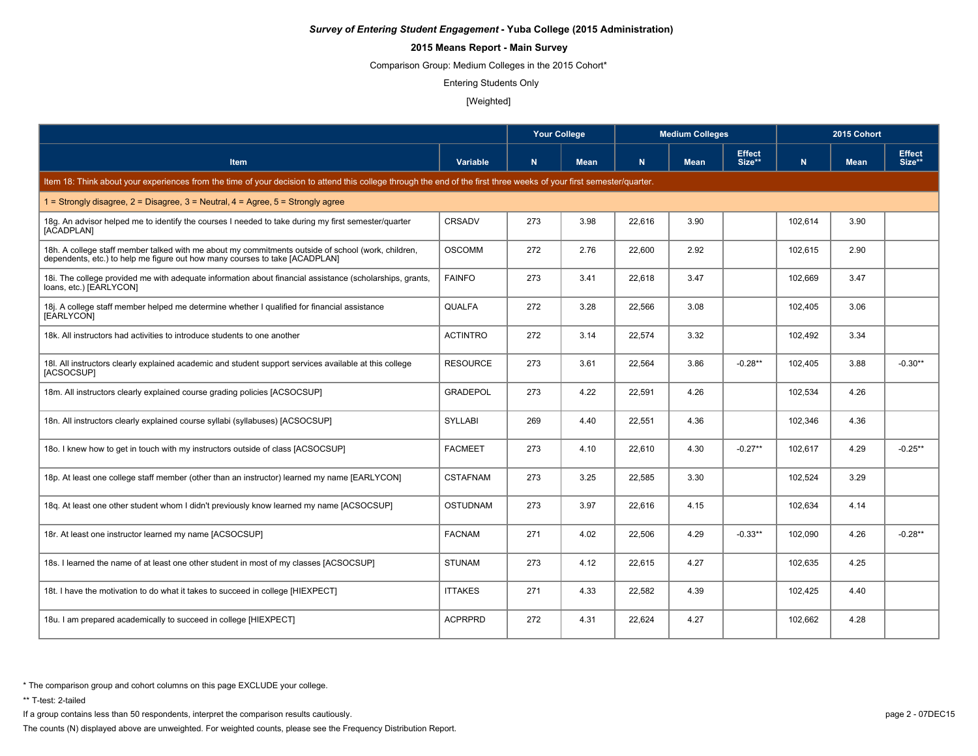# **2015 Means Report - Main Survey**

Comparison Group: Medium Colleges in the 2015 Cohort\*

Entering Students Only

#### [Weighted]

|                                                                                                                                                                                   |                 | <b>Your College</b> |             | <b>Medium Colleges</b> |             |                         | 2015 Cohort |             |                         |  |
|-----------------------------------------------------------------------------------------------------------------------------------------------------------------------------------|-----------------|---------------------|-------------|------------------------|-------------|-------------------------|-------------|-------------|-------------------------|--|
| <b>Item</b>                                                                                                                                                                       | Variable        | N.                  | <b>Mean</b> | N                      | <b>Mean</b> | <b>Effect</b><br>Size** | $\mathbf N$ | <b>Mean</b> | <b>Effect</b><br>Size** |  |
| Item 18: Think about your experiences from the time of your decision to attend this college through the end of the first three weeks of your first semester/quarter.              |                 |                     |             |                        |             |                         |             |             |                         |  |
| 1 = Strongly disagree, 2 = Disagree, 3 = Neutral, 4 = Agree, 5 = Strongly agree                                                                                                   |                 |                     |             |                        |             |                         |             |             |                         |  |
| 18g. An advisor helped me to identify the courses I needed to take during my first semester/quarter<br>[ACADPLAN]                                                                 | CRSADV          | 273                 | 3.98        | 22,616                 | 3.90        |                         | 102,614     | 3.90        |                         |  |
| 18h. A college staff member talked with me about my commitments outside of school (work, children,<br>dependents, etc.) to help me figure out how many courses to take [ACADPLAN] | <b>OSCOMM</b>   | 272                 | 2.76        | 22,600                 | 2.92        |                         | 102,615     | 2.90        |                         |  |
| 18. The college provided me with adequate information about financial assistance (scholarships, grants,<br>loans, etc.) [EARLYCON]                                                | <b>FAINFO</b>   | 273                 | 3.41        | 22,618                 | 3.47        |                         | 102,669     | 3.47        |                         |  |
| 18j. A college staff member helped me determine whether I qualified for financial assistance<br>[EARLYCON]                                                                        | QUALFA          | 272                 | 3.28        | 22,566                 | 3.08        |                         | 102,405     | 3.06        |                         |  |
| 18k. All instructors had activities to introduce students to one another                                                                                                          | <b>ACTINTRO</b> | 272                 | 3.14        | 22.574                 | 3.32        |                         | 102.492     | 3.34        |                         |  |
| 18I. All instructors clearly explained academic and student support services available at this college<br>[ACSOCSUP]                                                              | <b>RESOURCE</b> | 273                 | 3.61        | 22,564                 | 3.86        | $-0.28**$               | 102,405     | 3.88        | $-0.30**$               |  |
| 18m. All instructors clearly explained course grading policies [ACSOCSUP]                                                                                                         | <b>GRADEPOL</b> | 273                 | 4.22        | 22,591                 | 4.26        |                         | 102,534     | 4.26        |                         |  |
| 18n. All instructors clearly explained course syllabi (syllabuses) [ACSOCSUP]                                                                                                     | <b>SYLLABI</b>  | 269                 | 4.40        | 22,551                 | 4.36        |                         | 102,346     | 4.36        |                         |  |
| 180. I knew how to get in touch with my instructors outside of class [ACSOCSUP]                                                                                                   | <b>FACMEET</b>  | 273                 | 4.10        | 22.610                 | 4.30        | $-0.27**$               | 102,617     | 4.29        | $-0.25**$               |  |
| 18p. At least one college staff member (other than an instructor) learned my name [EARLYCON]                                                                                      | <b>CSTAFNAM</b> | 273                 | 3.25        | 22.585                 | 3.30        |                         | 102.524     | 3.29        |                         |  |
| 18g. At least one other student whom I didn't previously know learned my name [ACSOCSUP]                                                                                          | <b>OSTUDNAM</b> | 273                 | 3.97        | 22,616                 | 4.15        |                         | 102,634     | 4.14        |                         |  |
| 18r. At least one instructor learned my name [ACSOCSUP]                                                                                                                           | <b>FACNAM</b>   | 271                 | 4.02        | 22.506                 | 4.29        | $-0.33**$               | 102.090     | 4.26        | $-0.28**$               |  |
| 18s. I learned the name of at least one other student in most of my classes [ACSOCSUP]                                                                                            | <b>STUNAM</b>   | 273                 | 4.12        | 22,615                 | 4.27        |                         | 102,635     | 4.25        |                         |  |
| 18t. I have the motivation to do what it takes to succeed in college [HIEXPECT]                                                                                                   | <b>ITTAKES</b>  | 271                 | 4.33        | 22,582                 | 4.39        |                         | 102,425     | 4.40        |                         |  |
| 18u. I am prepared academically to succeed in college [HIEXPECT]                                                                                                                  | <b>ACPRPRD</b>  | 272                 | 4.31        | 22,624                 | 4.27        |                         | 102,662     | 4.28        |                         |  |

\* The comparison group and cohort columns on this page EXCLUDE your college.

\*\* T-test: 2-tailed

If a group contains less than 50 respondents, interpret the comparison results cautiously. page 2 - 07DEC15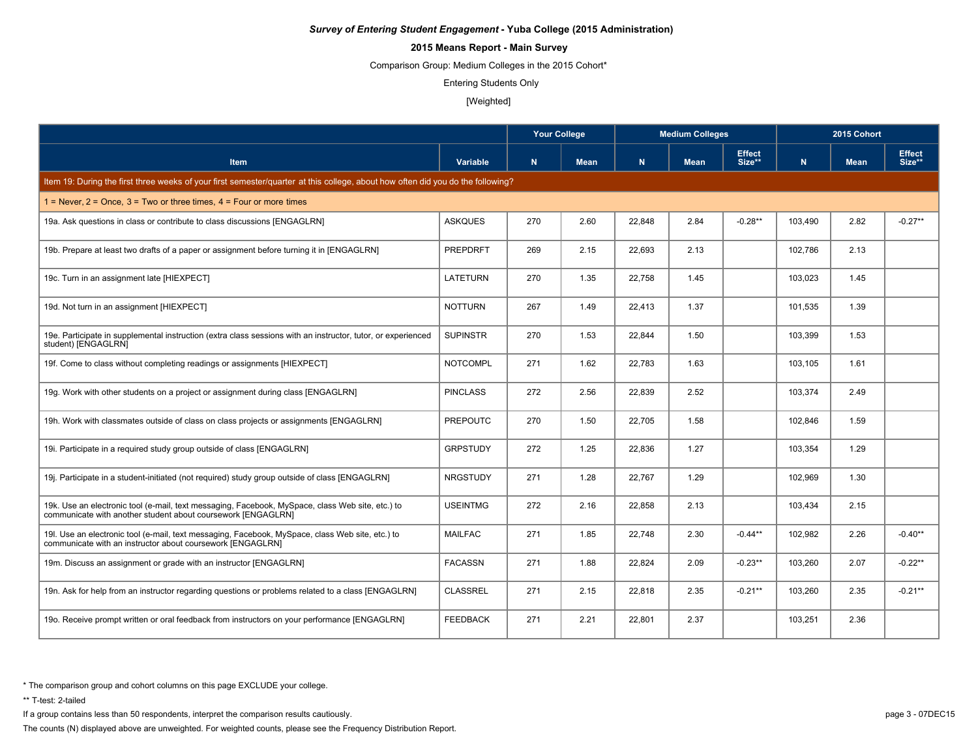# **2015 Means Report - Main Survey**

Comparison Group: Medium Colleges in the 2015 Cohort\*

Entering Students Only

#### [Weighted]

|                                                                                                                                                                  |                 | <b>Your College</b> |             | <b>Medium Colleges</b> |             |                         | 2015 Cohort |             |                         |
|------------------------------------------------------------------------------------------------------------------------------------------------------------------|-----------------|---------------------|-------------|------------------------|-------------|-------------------------|-------------|-------------|-------------------------|
| <b>Item</b>                                                                                                                                                      | Variable        | N.                  | <b>Mean</b> | N.                     | <b>Mean</b> | <b>Effect</b><br>Size** | N.          | <b>Mean</b> | <b>Effect</b><br>Size** |
| Item 19: During the first three weeks of your first semester/quarter at this college, about how often did you do the following?                                  |                 |                     |             |                        |             |                         |             |             |                         |
| $1 =$ Never, $2 =$ Once, $3 =$ Two or three times, $4 =$ Four or more times                                                                                      |                 |                     |             |                        |             |                         |             |             |                         |
| 19a. Ask questions in class or contribute to class discussions [ENGAGLRN]                                                                                        | <b>ASKQUES</b>  | 270                 | 2.60        | 22,848                 | 2.84        | $-0.28**$               | 103,490     | 2.82        | $-0.27**$               |
| 19b. Prepare at least two drafts of a paper or assignment before turning it in [ENGAGLRN]                                                                        | <b>PREPDRFT</b> | 269                 | 2.15        | 22,693                 | 2.13        |                         | 102,786     | 2.13        |                         |
| 19c. Turn in an assignment late [HIEXPECT]                                                                                                                       | <b>LATETURN</b> | 270                 | 1.35        | 22,758                 | 1.45        |                         | 103,023     | 1.45        |                         |
| 19d. Not turn in an assignment [HIEXPECT]                                                                                                                        | <b>NOTTURN</b>  | 267                 | 1.49        | 22,413                 | 1.37        |                         | 101,535     | 1.39        |                         |
| 19e. Participate in supplemental instruction (extra class sessions with an instructor, tutor, or experienced<br>student) [ENGAGLRN]                              | <b>SUPINSTR</b> | 270                 | 1.53        | 22,844                 | 1.50        |                         | 103,399     | 1.53        |                         |
| 19f. Come to class without completing readings or assignments [HIEXPECT]                                                                                         | <b>NOTCOMPL</b> | 271                 | 1.62        | 22,783                 | 1.63        |                         | 103,105     | 1.61        |                         |
| 19g. Work with other students on a project or assignment during class [ENGAGLRN]                                                                                 | <b>PINCLASS</b> | 272                 | 2.56        | 22,839                 | 2.52        |                         | 103,374     | 2.49        |                         |
| 19h. Work with classmates outside of class on class projects or assignments [ENGAGLRN]                                                                           | <b>PREPOUTC</b> | 270                 | 1.50        | 22,705                 | 1.58        |                         | 102,846     | 1.59        |                         |
| 19i. Participate in a required study group outside of class [ENGAGLRN]                                                                                           | <b>GRPSTUDY</b> | 272                 | 1.25        | 22,836                 | 1.27        |                         | 103,354     | 1.29        |                         |
| 19. Participate in a student-initiated (not required) study group outside of class [ENGAGLRN]                                                                    | <b>NRGSTUDY</b> | 271                 | 1.28        | 22.767                 | 1.29        |                         | 102,969     | 1.30        |                         |
| 19k. Use an electronic tool (e-mail, text messaging, Facebook, MySpace, class Web site, etc.) to<br>communicate with another student about coursework [ENGAGLRN] | <b>USEINTMG</b> | 272                 | 2.16        | 22,858                 | 2.13        |                         | 103,434     | 2.15        |                         |
| 19I. Use an electronic tool (e-mail, text messaging, Facebook, MySpace, class Web site, etc.) to<br>communicate with an instructor about coursework [ENGAGLRN]   | <b>MAILFAC</b>  | 271                 | 1.85        | 22.748                 | 2.30        | $-0.44**$               | 102.982     | 2.26        | $-0.40**$               |
| 19m. Discuss an assignment or grade with an instructor [ENGAGLRN]                                                                                                | <b>FACASSN</b>  | 271                 | 1.88        | 22,824                 | 2.09        | $-0.23**$               | 103,260     | 2.07        | $-0.22**$               |
| 19n. Ask for help from an instructor regarding questions or problems related to a class [ENGAGLRN]                                                               | <b>CLASSREL</b> | 271                 | 2.15        | 22,818                 | 2.35        | $-0.21**$               | 103,260     | 2.35        | $-0.21**$               |
| 190. Receive prompt written or oral feedback from instructors on your performance [ENGAGLRN]                                                                     | <b>FEEDBACK</b> | 271                 | 2.21        | 22,801                 | 2.37        |                         | 103,251     | 2.36        |                         |

\* The comparison group and cohort columns on this page EXCLUDE your college.

\*\* T-test: 2-tailed

If a group contains less than 50 respondents, interpret the comparison results cautiously. page 3 - 07DEC15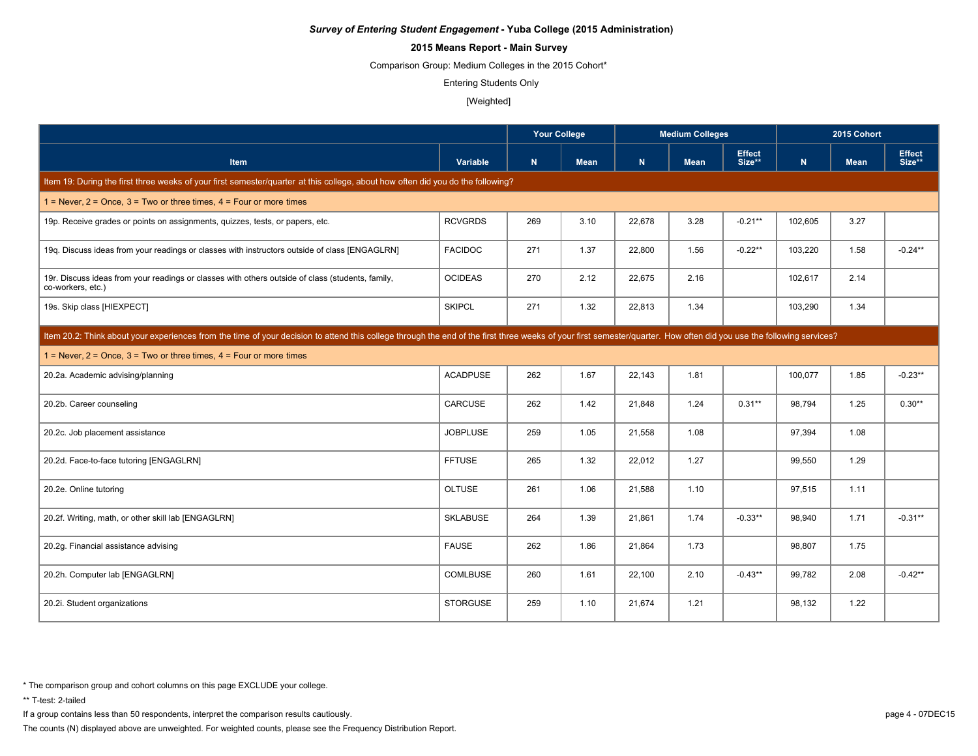# **2015 Means Report - Main Survey**

Comparison Group: Medium Colleges in the 2015 Cohort\*

Entering Students Only

#### [Weighted]

|                                                                                                                                                                                                                      |                 | <b>Your College</b> |             |        | <b>Medium Colleges</b> |                         | 2015 Cohort |             |                         |  |
|----------------------------------------------------------------------------------------------------------------------------------------------------------------------------------------------------------------------|-----------------|---------------------|-------------|--------|------------------------|-------------------------|-------------|-------------|-------------------------|--|
| Item                                                                                                                                                                                                                 | Variable        | N                   | <b>Mean</b> | N      | <b>Mean</b>            | <b>Effect</b><br>Size** | N           | <b>Mean</b> | <b>Effect</b><br>Size** |  |
| Item 19: During the first three weeks of your first semester/quarter at this college, about how often did you do the following?                                                                                      |                 |                     |             |        |                        |                         |             |             |                         |  |
| 1 = Never, $2$ = Once, $3$ = Two or three times, $4$ = Four or more times                                                                                                                                            |                 |                     |             |        |                        |                         |             |             |                         |  |
| 19p. Receive grades or points on assignments, quizzes, tests, or papers, etc.                                                                                                                                        | <b>RCVGRDS</b>  | 269                 | 3.10        | 22,678 | 3.28                   | $-0.21**$               | 102,605     | 3.27        |                         |  |
| 19q. Discuss ideas from your readings or classes with instructors outside of class [ENGAGLRN]                                                                                                                        | <b>FACIDOC</b>  | 271                 | 1.37        | 22,800 | 1.56                   | $-0.22**$               | 103,220     | 1.58        | $-0.24**$               |  |
| 19r. Discuss ideas from your readings or classes with others outside of class (students, family,<br>co-workers, etc.)                                                                                                | <b>OCIDEAS</b>  | 270                 | 2.12        | 22.675 | 2.16                   |                         | 102.617     | 2.14        |                         |  |
| 19s. Skip class [HIEXPECT]                                                                                                                                                                                           | <b>SKIPCL</b>   | 271                 | 1.32        | 22,813 | 1.34                   |                         | 103,290     | 1.34        |                         |  |
| Item 20.2: Think about your experiences from the time of your decision to attend this college through the end of the first three weeks of your first semester/quarter. How often did you use the following services? |                 |                     |             |        |                        |                         |             |             |                         |  |
| $1 =$ Never, $2 =$ Once, $3 =$ Two or three times, $4 =$ Four or more times                                                                                                                                          |                 |                     |             |        |                        |                         |             |             |                         |  |
| 20.2a. Academic advising/planning                                                                                                                                                                                    | <b>ACADPUSE</b> | 262                 | 1.67        | 22,143 | 1.81                   |                         | 100,077     | 1.85        | $-0.23**$               |  |
| 20.2b. Career counseling                                                                                                                                                                                             | CARCUSE         | 262                 | 1.42        | 21,848 | 1.24                   | $0.31**$                | 98,794      | 1.25        | $0.30**$                |  |
| 20.2c. Job placement assistance                                                                                                                                                                                      | <b>JOBPLUSE</b> | 259                 | 1.05        | 21,558 | 1.08                   |                         | 97,394      | 1.08        |                         |  |
| 20.2d. Face-to-face tutoring [ENGAGLRN]                                                                                                                                                                              | <b>FFTUSE</b>   | 265                 | 1.32        | 22,012 | 1.27                   |                         | 99,550      | 1.29        |                         |  |
| 20.2e. Online tutoring                                                                                                                                                                                               | <b>OLTUSE</b>   | 261                 | 1.06        | 21,588 | 1.10                   |                         | 97,515      | 1.11        |                         |  |
| 20.2f. Writing, math, or other skill lab [ENGAGLRN]                                                                                                                                                                  | <b>SKLABUSE</b> | 264                 | 1.39        | 21,861 | 1.74                   | $-0.33**$               | 98,940      | 1.71        | $-0.31**$               |  |
| 20.2g. Financial assistance advising                                                                                                                                                                                 | <b>FAUSE</b>    | 262                 | 1.86        | 21,864 | 1.73                   |                         | 98,807      | 1.75        |                         |  |
| 20.2h. Computer lab [ENGAGLRN]                                                                                                                                                                                       | COMLBUSE        | 260                 | 1.61        | 22,100 | 2.10                   | $-0.43**$               | 99,782      | 2.08        | $-0.42**$               |  |
| 20.2i. Student organizations                                                                                                                                                                                         | <b>STORGUSE</b> | 259                 | 1.10        | 21,674 | 1.21                   |                         | 98,132      | 1.22        |                         |  |

\* The comparison group and cohort columns on this page EXCLUDE your college.

\*\* T-test: 2-tailed

If a group contains less than 50 respondents, interpret the comparison results cautiously. page 4 - 07DEC15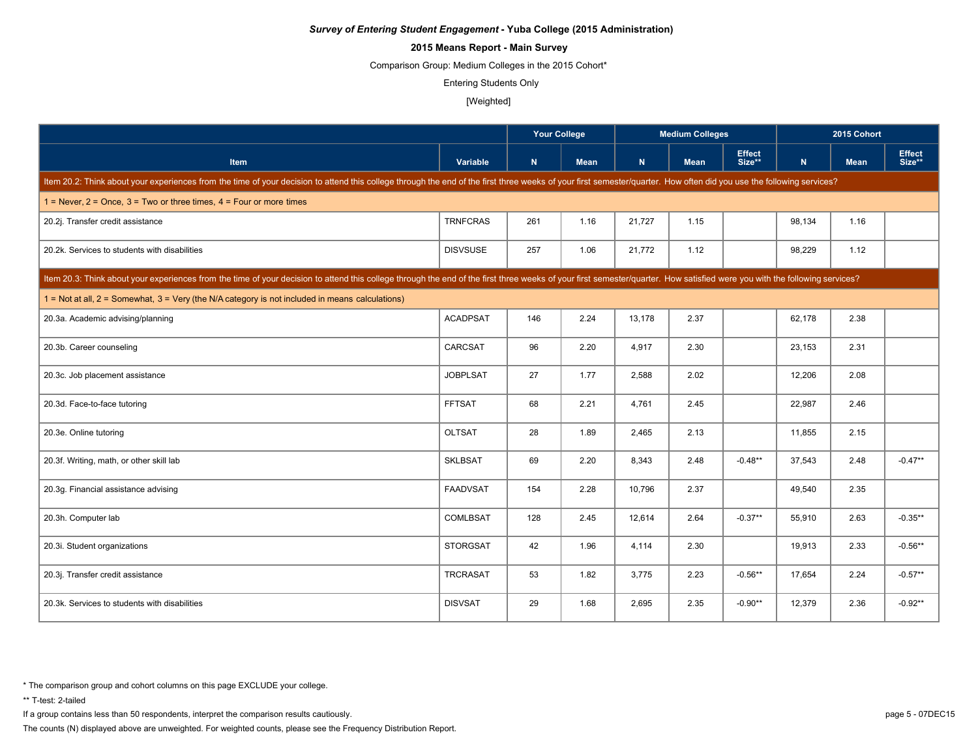# **2015 Means Report - Main Survey**

Comparison Group: Medium Colleges in the 2015 Cohort\*

Entering Students Only

#### [Weighted]

|                                                                                                                                                                                                                            |                 | <b>Your College</b> |             |        | <b>Medium Colleges</b> |                         | 2015 Cohort |             |                         |  |
|----------------------------------------------------------------------------------------------------------------------------------------------------------------------------------------------------------------------------|-----------------|---------------------|-------------|--------|------------------------|-------------------------|-------------|-------------|-------------------------|--|
| Item                                                                                                                                                                                                                       | Variable        | N                   | <b>Mean</b> | N      | <b>Mean</b>            | <b>Effect</b><br>Size** | N           | <b>Mean</b> | <b>Effect</b><br>Size** |  |
| Item 20.2: Think about your experiences from the time of your decision to attend this college through the end of the first three weeks of your first semester/quarter. How often did you use the following services?       |                 |                     |             |        |                        |                         |             |             |                         |  |
| $1 =$ Never, $2 =$ Once, $3 =$ Two or three times, $4 =$ Four or more times                                                                                                                                                |                 |                     |             |        |                        |                         |             |             |                         |  |
| 20.2j. Transfer credit assistance                                                                                                                                                                                          | <b>TRNFCRAS</b> | 261                 | 1.16        | 21,727 | 1.15                   |                         | 98,134      | 1.16        |                         |  |
| 20.2k. Services to students with disabilities                                                                                                                                                                              | <b>DISVSUSE</b> | 257                 | 1.06        | 21,772 | 1.12                   |                         | 98,229      | 1.12        |                         |  |
| Item 20.3: Think about your experiences from the time of your decision to attend this college through the end of the first three weeks of your first semester/quarter. How satisfied were you with the following services? |                 |                     |             |        |                        |                         |             |             |                         |  |
| $1 =$ Not at all, $2 =$ Somewhat, $3 =$ Very (the N/A category is not included in means calculations)                                                                                                                      |                 |                     |             |        |                        |                         |             |             |                         |  |
| 20.3a. Academic advising/planning                                                                                                                                                                                          | <b>ACADPSAT</b> | 146                 | 2.24        | 13,178 | 2.37                   |                         | 62,178      | 2.38        |                         |  |
| 20.3b. Career counseling                                                                                                                                                                                                   | CARCSAT         | 96                  | 2.20        | 4,917  | 2.30                   |                         | 23,153      | 2.31        |                         |  |
| 20.3c. Job placement assistance                                                                                                                                                                                            | <b>JOBPLSAT</b> | 27                  | 1.77        | 2,588  | 2.02                   |                         | 12,206      | 2.08        |                         |  |
| 20.3d. Face-to-face tutoring                                                                                                                                                                                               | <b>FFTSAT</b>   | 68                  | 2.21        | 4,761  | 2.45                   |                         | 22,987      | 2.46        |                         |  |
| 20.3e. Online tutoring                                                                                                                                                                                                     | <b>OLTSAT</b>   | 28                  | 1.89        | 2,465  | 2.13                   |                         | 11,855      | 2.15        |                         |  |
| 20.3f. Writing, math, or other skill lab                                                                                                                                                                                   | <b>SKLBSAT</b>  | 69                  | 2.20        | 8,343  | 2.48                   | $-0.48**$               | 37,543      | 2.48        | $-0.47**$               |  |
| 20.3g. Financial assistance advising                                                                                                                                                                                       | <b>FAADVSAT</b> | 154                 | 2.28        | 10.796 | 2.37                   |                         | 49,540      | 2.35        |                         |  |
| 20.3h. Computer lab                                                                                                                                                                                                        | COMLBSAT        | 128                 | 2.45        | 12,614 | 2.64                   | $-0.37**$               | 55,910      | 2.63        | $-0.35**$               |  |
| 20.3i. Student organizations                                                                                                                                                                                               | <b>STORGSAT</b> | 42                  | 1.96        | 4,114  | 2.30                   |                         | 19,913      | 2.33        | $-0.56**$               |  |
| 20.3j. Transfer credit assistance                                                                                                                                                                                          | <b>TRCRASAT</b> | 53                  | 1.82        | 3,775  | 2.23                   | $-0.56**$               | 17,654      | 2.24        | $-0.57**$               |  |
| 20.3k. Services to students with disabilities                                                                                                                                                                              | <b>DISVSAT</b>  | 29                  | 1.68        | 2,695  | 2.35                   | $-0.90**$               | 12,379      | 2.36        | $-0.92**$               |  |

\* The comparison group and cohort columns on this page EXCLUDE your college.

\*\* T-test: 2-tailed

If a group contains less than 50 respondents, interpret the comparison results cautiously. page 5 - 07DEC15